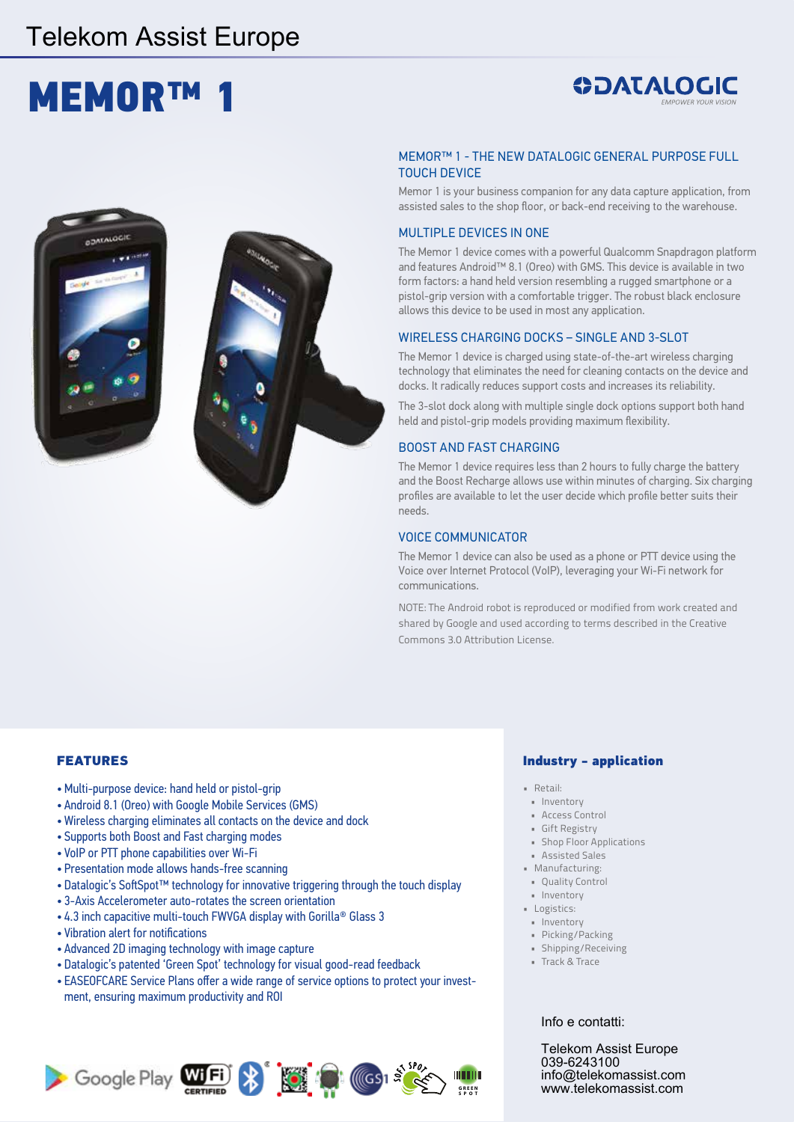### Telekom Assist Europe

# **MEMOR™**

## **ODATALOGIC**



#### MEMOR™ 1 - THE NEW DATALOGIC GENERAL PURPOSE FULL TOUCH DEVICE

Memor 1 is your business companion for any data capture application, from assisted sales to the shop floor, or back-end receiving to the warehouse.

#### MULTIPLE DEVICES IN ONE

The Memor 1 device comes with a powerful Qualcomm Snapdragon platform and features Android™ 8.1 (Oreo) with GMS. This device is available in two form factors: a hand held version resembling a rugged smartphone or a pistol-grip version with a comfortable trigger. The robust black enclosure allows this device to be used in most any application.

#### WIRELESS CHARGING DOCKS – SINGLE AND 3-SLOT

The Memor 1 device is charged using state-of-the-art wireless charging technology that eliminates the need for cleaning contacts on the device and docks. It radically reduces support costs and increases its reliability.

The 3-slot dock along with multiple single dock options support both hand held and pistol-grip models providing maximum flexibility.

#### BOOST AND FAST CHARGING

The Memor 1 device requires less than 2 hours to fully charge the battery and the Boost Recharge allows use within minutes of charging. Six charging profiles are available to let the user decide which profile better suits their needs.

#### VOICE COMMUNICATOR

The Memor 1 device can also be used as a phone or PTT device using the Voice over Internet Protocol (VoIP), leveraging your Wi-Fi network for communications.

NOTE: The Android robot is reproduced or modified from work created and shared by Google and used according to terms described in the Creative Commons 3.0 Attribution License.

#### FEATURES

- •Multi-purpose device: hand held or pistol-grip
- Android 8.1 (Oreo) with Google Mobile Services (GMS)
- Wireless charging eliminates all contacts on the device and dock
- Supports both Boost and Fast charging modes
- VoIP or PTT phone capabilities over Wi-Fi
- Presentation mode allows hands-free scanning
- Datalogic's SoftSpot™ technology for innovative triggering through the touch display
- 3-Axis Accelerometer auto-rotates the screen orientation
- 4.3 inch capacitive multi-touch FWVGA display with Gorilla® Glass 3
- Vibration alert for notifications
- Advanced 2D imaging technology with image capture
- Datalogic's patented 'Green Spot' technology for visual good-read feedback
- EASEOFCARE Service Plans offer a wide range of service options to protect your investment, ensuring maximum productivity and ROI



#### Industry - application

- Retail:
- Inventory
- Access Control
- Gift Registry
- Shop Floor Applications
- Assisted Sales
- Manufacturing:
- Quality Control • Inventory
- Logistics:
- Inventory
- Picking/Packing
- Shipping/Receiving
- Track & Trace

#### Info e contatti:

Telekom Assist Europe 039-6243100 info@telekomassist.com www.telekomassist.com